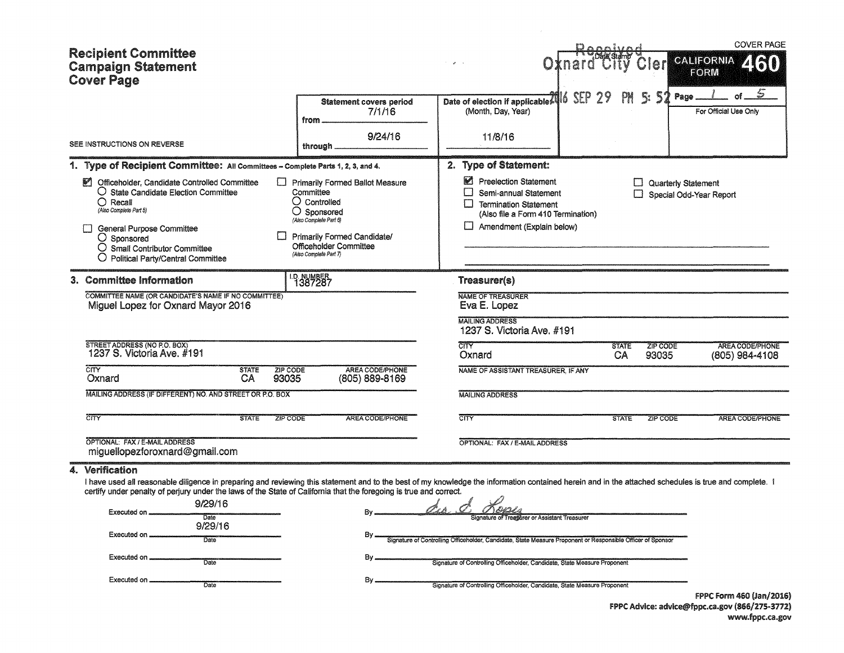| <b>Recipient Committee</b><br><b>Campaign Statement</b><br><b>Cover Page</b>                                                                                                                                                                                                                                                                                                                                                                                      |                                                                                                                                                                                                                          |                                                                                                                                                                                                                                                                                                                                       | Cleri                                   | <b>COVER PAGE</b><br><b>CALIFORNIA</b><br>460<br><b>FORM</b> |
|-------------------------------------------------------------------------------------------------------------------------------------------------------------------------------------------------------------------------------------------------------------------------------------------------------------------------------------------------------------------------------------------------------------------------------------------------------------------|--------------------------------------------------------------------------------------------------------------------------------------------------------------------------------------------------------------------------|---------------------------------------------------------------------------------------------------------------------------------------------------------------------------------------------------------------------------------------------------------------------------------------------------------------------------------------|-----------------------------------------|--------------------------------------------------------------|
| SEE INSTRUCTIONS ON REVERSE                                                                                                                                                                                                                                                                                                                                                                                                                                       | <b>Statement covers period</b><br>7/1/16<br>from.<br>9/24/16<br>through.                                                                                                                                                 | 2Eb<br>ó<br>Date of election if applicable<br>(Month, Day, Year)<br>11/8/16                                                                                                                                                                                                                                                           | -52<br>Page<br>Ę.                       | ٣<br>For Official Use Only                                   |
|                                                                                                                                                                                                                                                                                                                                                                                                                                                                   |                                                                                                                                                                                                                          |                                                                                                                                                                                                                                                                                                                                       |                                         |                                                              |
| 1. Type of Recipient Committee: All Committees - Complete Parts 1, 2, 3, and 4.<br>P.<br>Officeholder, Candidate Controlled Committee<br>$\bigcirc$ State Candidate Election Committee<br>$\bigcirc$ Recall<br>(Also Complete Part 5)<br><b>General Purpose Committee</b><br>$\bigcirc$ Sponsored<br>O Small Contributor Committee<br>O Political Party/Central Committee                                                                                         | <b>Primarily Formed Ballot Measure</b><br>Committee<br>$\bigcirc$ Controlled<br>$\bigcirc$ Sponsored<br>(Also Complete Part 6)<br>Primarily Formed Candidate/<br><b>Officeholder Committee</b><br>(Also Complete Part 7) | 2. Type of Statement:<br>Preelection Statement<br>Semi-annual Statement<br>ப<br><b>Termination Statement</b><br>(Also file a Form 410 Termination)<br>Amendment (Explain below)                                                                                                                                                       | Quarterly Statement                     | Special Odd-Year Report                                      |
| 3. Committee Information                                                                                                                                                                                                                                                                                                                                                                                                                                          | <sup>1.9</sup> 387287                                                                                                                                                                                                    | Treasurer(s)                                                                                                                                                                                                                                                                                                                          |                                         |                                                              |
| COMMITTEE NAME (OR CANDIDATE'S NAME IF NO COMMITTEE)<br>Miguel Lopez for Oxnard Mayor 2016                                                                                                                                                                                                                                                                                                                                                                        |                                                                                                                                                                                                                          | <b>NAME OF TREASURER</b><br>Eva E. Lopez<br><b>MAILING ADDRESS</b><br>1237 S. Victoria Ave. #191                                                                                                                                                                                                                                      |                                         |                                                              |
| STREET ADDRESS (NO P.O. BOX)<br>1237 S. Victoria Ave. #191                                                                                                                                                                                                                                                                                                                                                                                                        |                                                                                                                                                                                                                          | <b>CITY</b><br>Oxnard                                                                                                                                                                                                                                                                                                                 | <b>STATE</b><br>ZIP CODE<br>CA<br>93035 | AREA CODE/PHONE<br>(805) 984-4108                            |
| CITY<br><b>STATE</b><br>ZIP CODE<br>Oxnard<br>CA<br>93035                                                                                                                                                                                                                                                                                                                                                                                                         | AREA CODE/PHONE<br>(805) 889-8169                                                                                                                                                                                        | NAME OF ASSISTANT TREASURER, IF ANY                                                                                                                                                                                                                                                                                                   |                                         |                                                              |
| MAILING ADDRESS (IF DIFFERENT) NO. AND STREET OR P.O. BOX                                                                                                                                                                                                                                                                                                                                                                                                         |                                                                                                                                                                                                                          | <b>MAILING ADDRESS</b>                                                                                                                                                                                                                                                                                                                |                                         |                                                              |
| CITY<br><b>STATE</b><br><b>ZIP CODE</b>                                                                                                                                                                                                                                                                                                                                                                                                                           | <b>AREA CODE/PHONE</b>                                                                                                                                                                                                   | $\overline{\text{CITY}}$                                                                                                                                                                                                                                                                                                              | <b>STATE</b><br>ZIP CODE                | <b>AREA CODE/PHONE</b>                                       |
| OPTIONAL: FAX / E-MAIL ADDRESS<br>miguellopezforoxnard@gmail.com                                                                                                                                                                                                                                                                                                                                                                                                  |                                                                                                                                                                                                                          | OPTIONAL: FAX / E-MAIL ADDRESS                                                                                                                                                                                                                                                                                                        |                                         |                                                              |
| 4. Verification<br>I have used all reasonable diligence in preparing and reviewing this statement and to the best of my knowledge the information contained herein and in the attached schedules is true and complete. I<br>certify under penalty of perjury under the laws of the State of California that the foregoing is true and correct.<br>9/29/16<br>Executed on<br>Date<br>9/29/16<br>Executed on<br>Date<br>Executed on<br>Date<br>Executed on.<br>Date | By.<br>By .<br>By.                                                                                                                                                                                                       | dia de Kope<br>Signature of Treasurer or Assistant Treasurer<br>Signature of Controlling Officeholder, Candidate, State Measure Proponent or Responsible Officer of Sponsor<br>Signature of Controlling Officeholder, Candidate, State Measure Proponent<br>Signature of Controlling Officeholder, Candidate, State Measure Proponent |                                         |                                                              |
|                                                                                                                                                                                                                                                                                                                                                                                                                                                                   |                                                                                                                                                                                                                          |                                                                                                                                                                                                                                                                                                                                       |                                         | FPPC Form 460 (Jan/2016)                                     |

FPPC Advice: advice@fppc.ca.gov (866/275-3772) www.fppc.ca.gov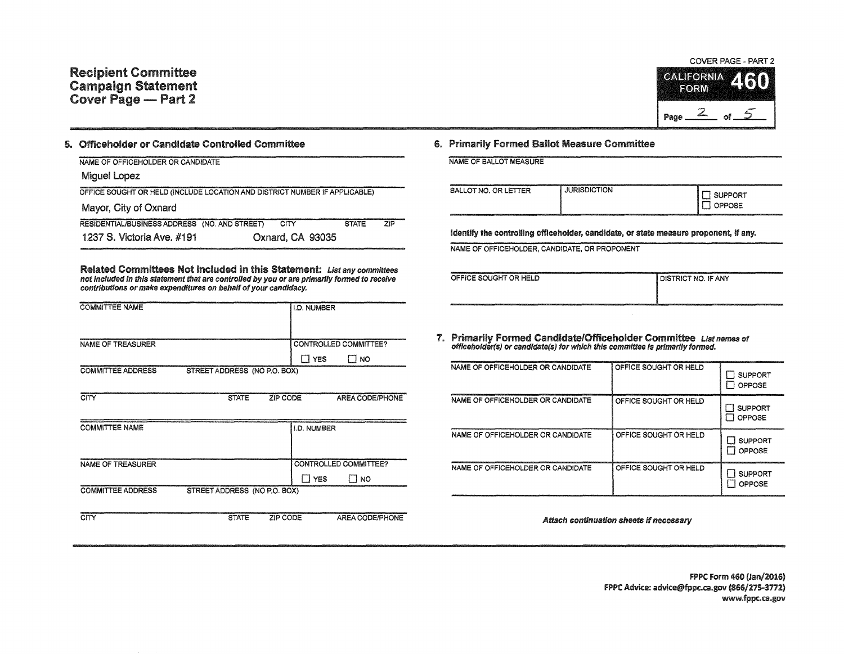

## 5. Officeholder or Candidate Controlled Committee

| NAME OF OFFICEHOLDER OR CANDIDATE                                          |                  |                                                 |
|----------------------------------------------------------------------------|------------------|-------------------------------------------------|
| Miquel Lopez                                                               |                  |                                                 |
| OFFICE SOUGHT OR HELD (INCLUDE LOCATION AND DISTRICT NUMBER IF APPLICABLE) |                  |                                                 |
| Mayor, City of Oxnard                                                      |                  |                                                 |
| RESIDENTIAL/BUSINESS ADDRESS (NO. AND STREET)                              | CITY             | <b>STATE</b><br>$7$ <sub>I</sub> $\overline{P}$ |
| 1237 S. Victoria Ave. #191                                                 | Oxnard, CA 93035 |                                                 |

Related Committees Not included in this Statement: List any committees not included in this statement that are controlled by you or are primarily formed to receive contributions or make expenditures on behalf of your candidacy.

| <b>COMMITTEE NAME</b>                                    | <b>I.D. NUMBER</b>           |
|----------------------------------------------------------|------------------------------|
|                                                          |                              |
|                                                          |                              |
| <b>NAME OF TREASURER</b>                                 | <b>CONTROLLED COMMITTEE?</b> |
|                                                          | <b>YES</b><br><b>NO</b>      |
| STREET ADDRESS (NO P.O. BOX)<br><b>COMMITTEE ADDRESS</b> |                              |

| CITY                     | <b>STATE</b>                 | ZIP CODE           | AREA CODE/PHONE        |
|--------------------------|------------------------------|--------------------|------------------------|
| <b>COMMITTEE NAME</b>    |                              | <b>I.D. NUMBER</b> |                        |
|                          |                              |                    |                        |
| NAME OF TREASURER        |                              |                    | CONTROLLED COMMITTEE?  |
|                          |                              | <b>YES</b>         | NO                     |
| <b>COMMITTEE ADDRESS</b> | STREET ADDRESS (NO P.O. BOX) |                    |                        |
|                          |                              |                    |                        |
| CITY                     | <b>STATE</b>                 | ZIP CODE           | <b>AREA CODE/PHONE</b> |

## 6. Primarily Formed Ballot Measure Committee

|  | NAME OF BALLOT MEASURE |  |
|--|------------------------|--|
|  |                        |  |

| BALLOT NO. OR LETTER | <b>JURISDICTION</b> | <b>SUPPORT</b><br>OPPOSE |
|----------------------|---------------------|--------------------------|
|                      |                     |                          |

Identify the controlling officeholder, candidate, or state measure proponent, If any.

NAME OF OFFICEHOLDER, CANDIDATE, OR PROPONENT

| OFFICE SOUGHT OR HELD                                                                   | <b>I DISTRICT NO. IF ANY</b>                                                                                                                                                                                                   |
|-----------------------------------------------------------------------------------------|--------------------------------------------------------------------------------------------------------------------------------------------------------------------------------------------------------------------------------|
| www.communications.com/www.com/www.com/www.com/www.com/www.com/www.com/www.com/www.com/ | at the complete the constant of the complete state of the constant and complete the constant of the complete the constant of the constant of the constant of the constant of the constant of the constant of the constant of t |

7. Primarily formed Candidate/Officeholder Committee List names of offlceholder(s) or candldate(s) for which this committee Is primarily formed.

| NAME OF OFFICEHOLDER OR CANDIDATE | OFFICE SOUGHT OR HELD | <b>SUPPORT</b><br>OPPOSE |
|-----------------------------------|-----------------------|--------------------------|
| NAME OF OFFICEHOLDER OR CANDIDATE | OFFICE SOUGHT OR HELD | <b>SUPPORT</b><br>OPPOSE |
| NAME OF OFFICEHOLDER OR CANDIDATE | OFFICE SOUGHT OR HELD | <b>SUPPORT</b><br>OPPOSE |
| NAME OF OFFICEHOLDER OR CANDIDATE | OFFICE SOUGHT OR HELD | <b>SUPPORT</b><br>OPPOSE |

Attach continuation sheets if necessary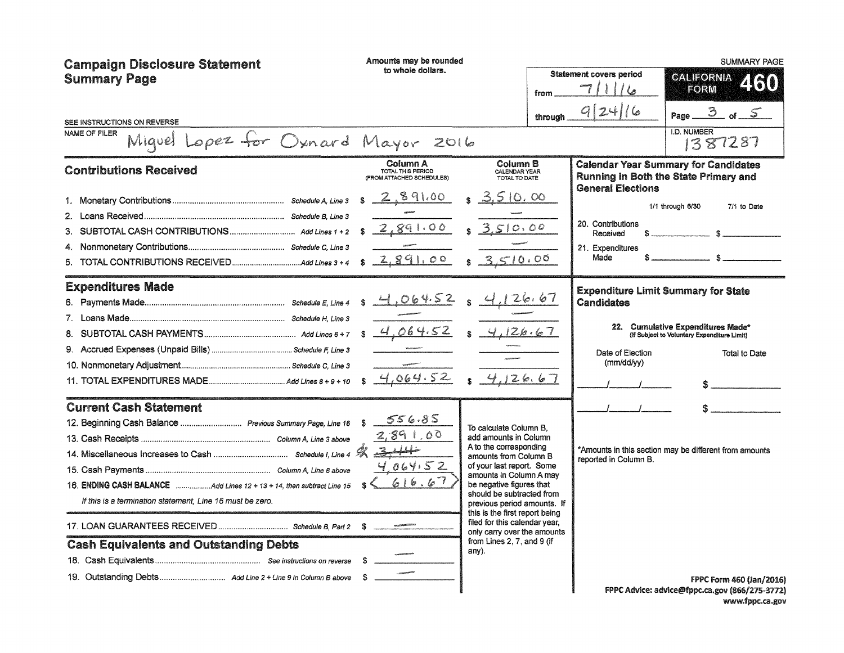| <b>Campaign Disclosure Statement</b><br><b>Summary Page</b>                                                                                                                                               | Amounts may be rounded<br>to whole dollars.                |                                                                                                                                                                                                                                                                                                                                                                                             | <b>Statement covers period</b><br>from<br>through | 9 24 16                                                   | <b>SUMMARY PAGE</b><br>CALIFORNIA<br>2160<br><b>FORM</b><br>3 of 5<br>Page                                                                             |
|-----------------------------------------------------------------------------------------------------------------------------------------------------------------------------------------------------------|------------------------------------------------------------|---------------------------------------------------------------------------------------------------------------------------------------------------------------------------------------------------------------------------------------------------------------------------------------------------------------------------------------------------------------------------------------------|---------------------------------------------------|-----------------------------------------------------------|--------------------------------------------------------------------------------------------------------------------------------------------------------|
| SEE INSTRUCTIONS ON REVERSE<br>NAME OF FILER<br>Lopez for Oxnard Mayor 2016<br>Miquel                                                                                                                     |                                                            |                                                                                                                                                                                                                                                                                                                                                                                             |                                                   |                                                           | <b>I.D. NUMBER</b><br>1387287                                                                                                                          |
| <b>Contributions Received</b>                                                                                                                                                                             | Column A<br>TOTAL THIS PERIOD<br>(FROM ATTACHED SCHEDULES) | Column B<br>CALENDAR YEAR<br>TOTAL TO DATE                                                                                                                                                                                                                                                                                                                                                  |                                                   | <b>General Elections</b>                                  | <b>Calendar Year Summary for Candidates</b><br>Running in Both the State Primary and                                                                   |
|                                                                                                                                                                                                           | 2,891.00<br>S.<br>8289100                                  | S, 3,510,00<br>3.510.00<br>3510.00                                                                                                                                                                                                                                                                                                                                                          |                                                   | 20. Contributions<br>Received<br>21. Expenditures<br>Made | 1/1 through 6/30<br>7/1 to Date<br>$\mathbb{R}$ and $\mathbb{R}$<br>$\sim$ $\sim$                                                                      |
| <b>Expenditures Made</b>                                                                                                                                                                                  | $s - 4,064.52$<br>4.064.52<br>4,064.52<br>$\mathbf{S}$     | 4,126.67<br>4,126.67<br>$\mathbf{s}$                                                                                                                                                                                                                                                                                                                                                        |                                                   | Candidates<br>Date of Election<br>(mm/dd/yy)              | <b>Expenditure Limit Summary for State</b><br>22. Cumulative Expenditures Made*<br>(If Subject to Voluntary Expenditure Limit)<br><b>Total to Date</b> |
| <b>Current Cash Statement</b><br>12. Beginning Cash Balance  Previous Summary Page, Line 16<br>If this is a termination statement, Line 16 must be zero.<br><b>Cash Equivalents and Outstanding Debts</b> | 556.85<br>-S<br>2,891,00<br>4.064.52<br>616.67             | To calculate Column B.<br>add amounts in Column<br>A to the corresponding<br>amounts from Column B<br>of your last report. Some<br>amounts in Column A may<br>be negative figures that<br>should be subtracted from<br>previous period amounts. If<br>this is the first report being<br>filed for this calendar year,<br>only carry over the amounts<br>from Lines 2, 7, and 9 (if<br>any). |                                                   | reported in Column B.                                     | *Amounts in this section may be different from amounts                                                                                                 |
|                                                                                                                                                                                                           |                                                            |                                                                                                                                                                                                                                                                                                                                                                                             |                                                   |                                                           | <b>FPPC Form 460 (Jan/2016)</b><br>FPPC Advice: advice@fppc.ca.gov (866/275-3772)                                                                      |

www.fppc.ca.gov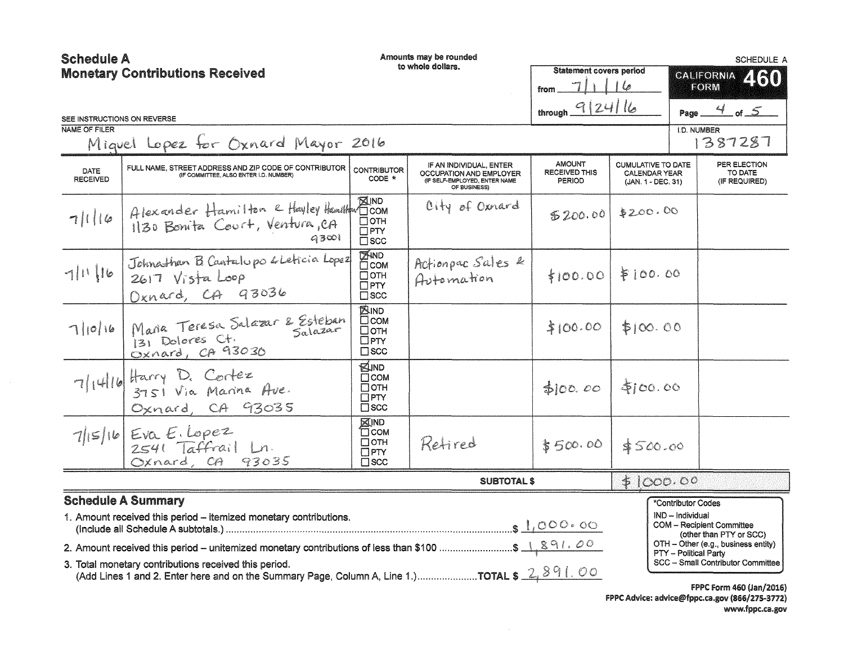| <b>Schedule A</b>                      |                                                                                                                                                          |                                                                           | Amounts may be rounded                                                                              |                                                 |                                                                         |                    | <b>SCHEDULE A</b>                                              |
|----------------------------------------|----------------------------------------------------------------------------------------------------------------------------------------------------------|---------------------------------------------------------------------------|-----------------------------------------------------------------------------------------------------|-------------------------------------------------|-------------------------------------------------------------------------|--------------------|----------------------------------------------------------------|
| <b>Monetary Contributions Received</b> |                                                                                                                                                          |                                                                           | to whole dollars.                                                                                   | <b>Statement covers period</b>                  |                                                                         |                    | GALIFORNIA 450                                                 |
|                                        |                                                                                                                                                          |                                                                           |                                                                                                     | from.                                           |                                                                         |                    | FORM                                                           |
| SEE INSTRUCTIONS ON REVERSE            |                                                                                                                                                          |                                                                           |                                                                                                     | through $9 24 16$                               |                                                                         |                    | Page $4$ of $5$                                                |
| NAME OF FILER                          | Miguel Lopez for Oxnard Mayor 2016                                                                                                                       |                                                                           |                                                                                                     |                                                 |                                                                         | <b>I.D. NUMBER</b> | 1387287                                                        |
| DATE<br><b>RECEIVED</b>                | FULL NAME, STREET ADDRESS AND ZIP CODE OF CONTRIBUTOR<br>(IF COMMITTEE, ALSO ENTER I.D. NUMBER)                                                          | <b>CONTRIBUTOR</b><br>CODE *                                              | IF AN INDIVIDUAL, ENTER<br>OCCUPATION AND EMPLOYER<br>(IF SELF-EMPLOYED, ENTER NAME<br>OF BUSINESS) | <b>AMOUNT</b><br><b>RECEIVED THIS</b><br>PERIOD | <b>CUMULATIVE TO DATE</b><br><b>CALENDAR YEAR</b><br>(JAN. 1 - DEC. 31) |                    | PER ELECTION<br>TO DATE<br>(IF REQUIRED)                       |
| 7  16                                  | Alexander Hamilton e Hayley Hamilton 100M<br>1130 Bonita Court, Ventura, CA<br>93001                                                                     | Потн<br>$\Box$ PTY<br>$\square$ scc                                       | City of Oxnard                                                                                      | \$200.00                                        | \$200.00                                                                |                    |                                                                |
| 7  1  1                                | Johnathan B Cantalupo & Leticia Lopez<br>$2617$ $V$ ista Loop<br>Oxnard, CA 93036                                                                        | <b>EXAND</b><br>$\Box$ COM<br>$\Box$ OTH<br>$\Box$ PTY<br>$\square$ SCC   | Actionpac Sales &<br>Automation                                                                     | \$100.00                                        | \$100.00                                                                |                    |                                                                |
| 7 0 16                                 | Maria Teresa Salazar & Esteban<br>131 Dolores Ct.<br>Oxnard, CA 93030                                                                                    | <b>AIND</b><br>$\Box$ COM<br>□отн<br>$\Box$ PTY<br>$\square$ SCC          |                                                                                                     | \$100.00                                        | \$100.00                                                                |                    |                                                                |
|                                        | $7  4  b $ Harry D. Cortez<br>$3751$ Via Marina Ave.<br>Oxnard, CA 93035                                                                                 | <b>EUND</b><br>$\square$ COM<br>□отн<br>$\square$ PTY<br>$\Box$ SCC       |                                                                                                     | f(00,00)                                        | \$100.00                                                                |                    |                                                                |
|                                        | $7 15 16$ Eva E. Lopez<br>2541 Taffrail Ln.<br>Oxnard, CA 93035                                                                                          | <b>XIND</b><br><b>TT</b> COM<br>$\Box$ OTH<br>$\Box$ PTY<br>$\square$ SCC | Retired                                                                                             | \$500.00                                        | \$500.00                                                                |                    |                                                                |
|                                        |                                                                                                                                                          |                                                                           | <b>SUBTOTAL \$</b>                                                                                  |                                                 | \$1000.00                                                               |                    |                                                                |
|                                        | <b>Schedule A Summary</b>                                                                                                                                |                                                                           |                                                                                                     |                                                 |                                                                         | *Contributor Codes |                                                                |
|                                        | 1. Amount received this period - itemized monetary contributions.                                                                                        |                                                                           |                                                                                                     |                                                 |                                                                         | IND - Individual   | <b>COM - Recipient Committee</b>                               |
|                                        | 2. Amount received this period – unitemized monetary contributions of less than \$100 \$ 1.891.00                                                        |                                                                           |                                                                                                     |                                                 |                                                                         |                    | (other than PTY or SCC)<br>OTH - Other (e.g., business entity) |
|                                        | 3. Total monetary contributions received this period.<br>(Add Lines 1 and 2. Enter here and on the Summary Page, Column A, Line 1.) TOTAL \$ 2, $891.00$ |                                                                           |                                                                                                     |                                                 |                                                                         |                    | PTY - Political Party<br>SCC - Small Contributor Committee     |
|                                        |                                                                                                                                                          |                                                                           |                                                                                                     |                                                 |                                                                         |                    | <b>FPPC Form 460 (Jan/2016)</b>                                |

FPPC Advice: advice@fppc.ca.gov (866/275-3772) www.fppc.ca.gov